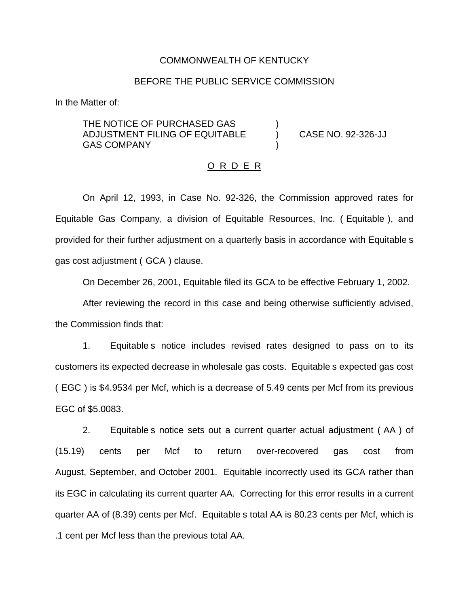## COMMONWEALTH OF KENTUCKY

## BEFORE THE PUBLIC SERVICE COMMISSION

In the Matter of:

THE NOTICE OF PURCHASED GAS ADJUSTMENT FILING OF EQUITABLE ) CASE NO. 92-326-JJ **GAS COMPANY** 

#### O R D E R

On April 12, 1993, in Case No. 92-326, the Commission approved rates for Equitable Gas Company, a division of Equitable Resources, Inc. ( Equitable ), and provided for their further adjustment on a quarterly basis in accordance with Equitable s gas cost adjustment ( GCA ) clause.

On December 26, 2001, Equitable filed its GCA to be effective February 1, 2002.

After reviewing the record in this case and being otherwise sufficiently advised, the Commission finds that:

1. Equitable s notice includes revised rates designed to pass on to its customers its expected decrease in wholesale gas costs. Equitable s expected gas cost ( EGC ) is \$4.9534 per Mcf, which is a decrease of 5.49 cents per Mcf from its previous EGC of \$5.0083.

2. Equitable s notice sets out a current quarter actual adjustment ( AA ) of (15.19) cents per Mcf to return over-recovered gas cost from August, September, and October 2001. Equitable incorrectly used its GCA rather than its EGC in calculating its current quarter AA. Correcting for this error results in a current quarter AA of (8.39) cents per Mcf. Equitable s total AA is 80.23 cents per Mcf, which is .1 cent per Mcf less than the previous total AA.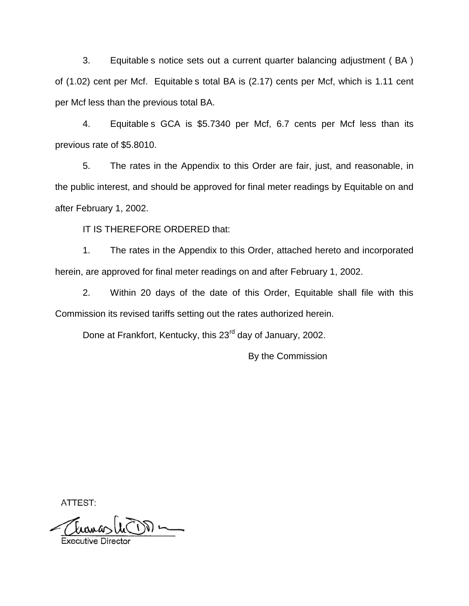3. Equitable s notice sets out a current quarter balancing adjustment ( BA ) of (1.02) cent per Mcf. Equitable s total BA is (2.17) cents per Mcf, which is 1.11 cent per Mcf less than the previous total BA.

4. Equitable s GCA is \$5.7340 per Mcf, 6.7 cents per Mcf less than its previous rate of \$5.8010.

5. The rates in the Appendix to this Order are fair, just, and reasonable, in the public interest, and should be approved for final meter readings by Equitable on and after February 1, 2002.

IT IS THEREFORE ORDERED that:

1. The rates in the Appendix to this Order, attached hereto and incorporated herein, are approved for final meter readings on and after February 1, 2002.

2. Within 20 days of the date of this Order, Equitable shall file with this Commission its revised tariffs setting out the rates authorized herein.

Done at Frankfort, Kentucky, this 23<sup>rd</sup> day of January, 2002.

By the Commission

ATTEST:

tamasl  $\frac{1}{\sqrt{2\pi}}\sum_{n=1}^{\infty}\frac{1}{n^{n}}\left( \frac{1}{n^{n}}\right) ^{n}$